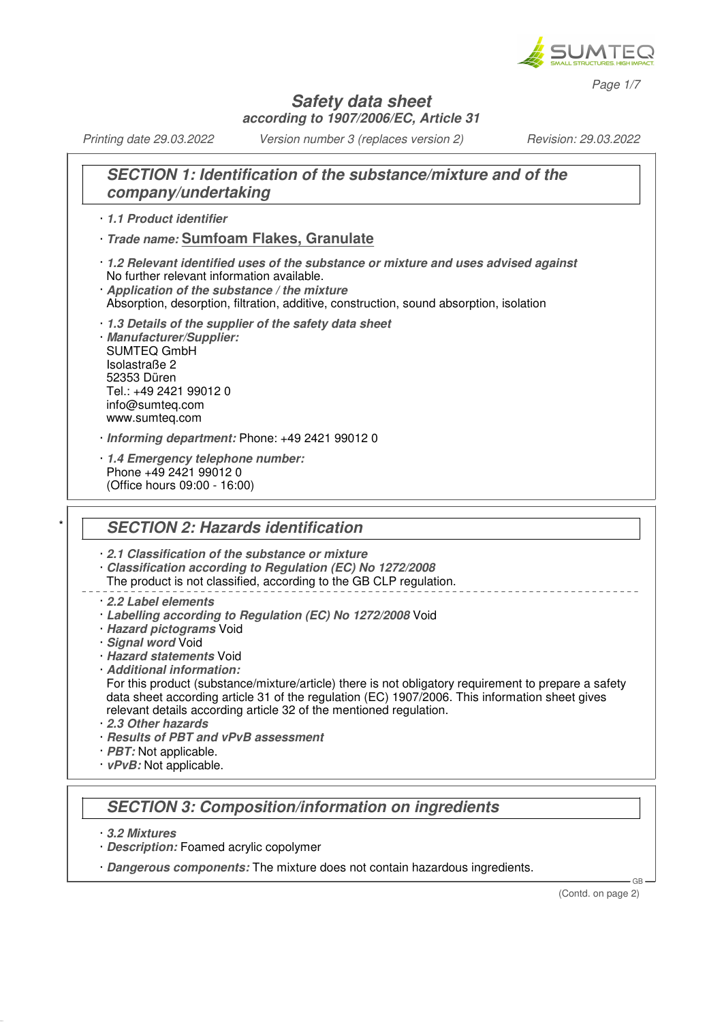

*Page 1/7*

### **Safety data sheet according to 1907/2006/EC, Article 31**

*Printing date 29.03.2022 Version number 3 (replaces version 2) Revision: 29.03.2022*

# **SECTION 1: Identification of the substance/mixture and of the company/undertaking**

#### · **1.1 Product identifier**

- · **Trade name: Sumfoam Flakes, Granulate**
- · **1.2 Relevant identified uses of the substance or mixture and uses advised against** No further relevant information available.
- · **Application of the substance / the mixture**
- Absorption, desorption, filtration, additive, construction, sound absorption, isolation
- · **1.3 Details of the supplier of the safety data sheet** · **Manufacturer/Supplier:** SUMTEQ GmbH Isolastraße 2 52353 Düren Tel.: +49 2421 99012 0 info@sumteq.com www.sumteq.com
- · **Informing department:** Phone: +49 2421 99012 0
- · **1.4 Emergency telephone number:** Phone +49 2421 99012 0 (Office hours 09:00 - 16:00)

## **SECTION 2: Hazards identification**

· **2.1 Classification of the substance or mixture**

- · **Classification according to Regulation (EC) No 1272/2008**
- The product is not classified, according to the GB CLP regulation.
- · **2.2 Label elements**
- · **Labelling according to Regulation (EC) No 1272/2008** Void
- · **Hazard pictograms** Void
- · **Signal word** Void
- · **Hazard statements** Void
- · **Additional information:**
- For this product (substance/mixture/article) there is not obligatory requirement to prepare a safety data sheet according article 31 of the regulation (EC) 1907/2006. This information sheet gives relevant details according article 32 of the mentioned regulation.
- · **2.3 Other hazards**
- · **Results of PBT and vPvB assessment**
- *PBT:* Not applicable.
- · **vPvB:** Not applicable.

# **SECTION 3: Composition/information on ingredients**

- · **3.2 Mixtures**
- · **Description:** Foamed acrylic copolymer
- · **Dangerous components:** The mixture does not contain hazardous ingredients.

(Contd. on page 2)

GB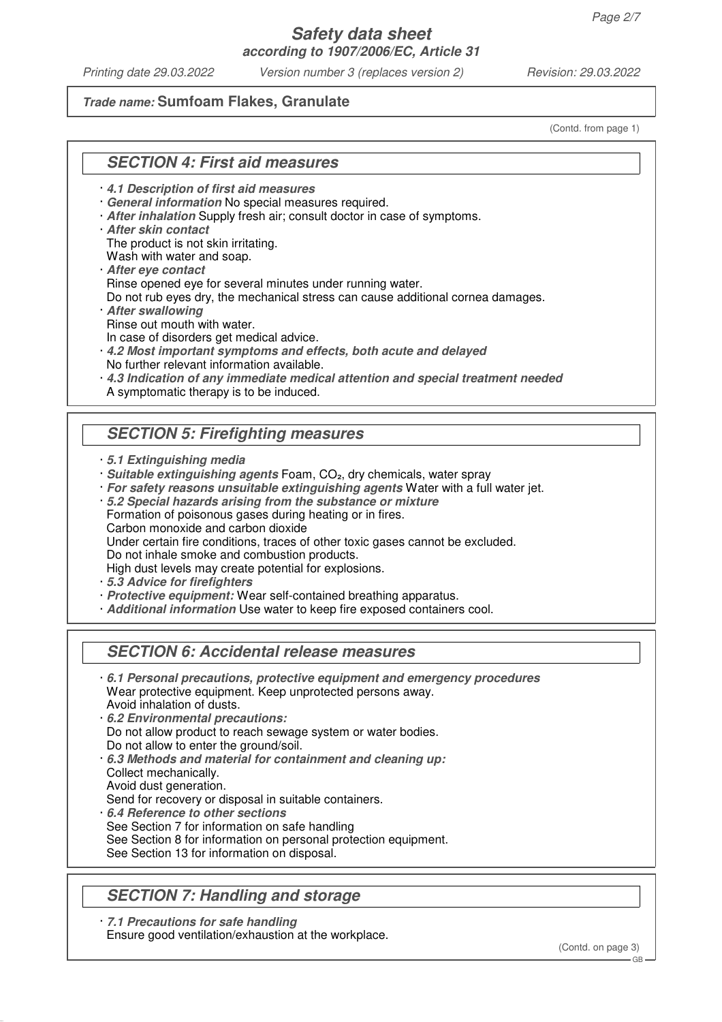*Printing date 29.03.2022 Version number 3 (replaces version 2) Revision: 29.03.2022*

### **Trade name: Sumfoam Flakes, Granulate**

(Contd. from page 1)

## **SECTION 4: First aid measures**

· **4.1 Description of first aid measures**

- · **General information** No special measures required.
- · **After inhalation** Supply fresh air; consult doctor in case of symptoms.
- · **After skin contact**

The product is not skin irritating.

Wash with water and soap.

· **After eye contact** Rinse opened eye for several minutes under running water.

Do not rub eyes dry, the mechanical stress can cause additional cornea damages.

- · **After swallowing** Rinse out mouth with water.
- In case of disorders get medical advice.
- · **4.2 Most important symptoms and effects, both acute and delayed** No further relevant information available.
- · **4.3 Indication of any immediate medical attention and special treatment needed** A symptomatic therapy is to be induced.

# **SECTION 5: Firefighting measures**

- · **5.1 Extinguishing media**
- · **Suitable extinguishing agents** Foam, CO₂, dry chemicals, water spray
- · **For safety reasons unsuitable extinguishing agents** Water with a full water jet.

· **5.2 Special hazards arising from the substance or mixture**

Formation of poisonous gases during heating or in fires.

Carbon monoxide and carbon dioxide

Under certain fire conditions, traces of other toxic gases cannot be excluded.

Do not inhale smoke and combustion products.

High dust levels may create potential for explosions.

- · **5.3 Advice for firefighters**
- · **Protective equipment:** Wear self-contained breathing apparatus.
- · **Additional information** Use water to keep fire exposed containers cool.

## **SECTION 6: Accidental release measures**

- · **6.1 Personal precautions, protective equipment and emergency procedures** Wear protective equipment. Keep unprotected persons away. Avoid inhalation of dusts.
- · **6.2 Environmental precautions:** Do not allow product to reach sewage system or water bodies. Do not allow to enter the ground/soil.
- · **6.3 Methods and material for containment and cleaning up:** Collect mechanically.
- Avoid dust generation.

Send for recovery or disposal in suitable containers.

- · **6.4 Reference to other sections**
- See Section 7 for information on safe handling
- See Section 8 for information on personal protection equipment.
- See Section 13 for information on disposal.

# **SECTION 7: Handling and storage**

· **7.1 Precautions for safe handling** Ensure good ventilation/exhaustion at the workplace.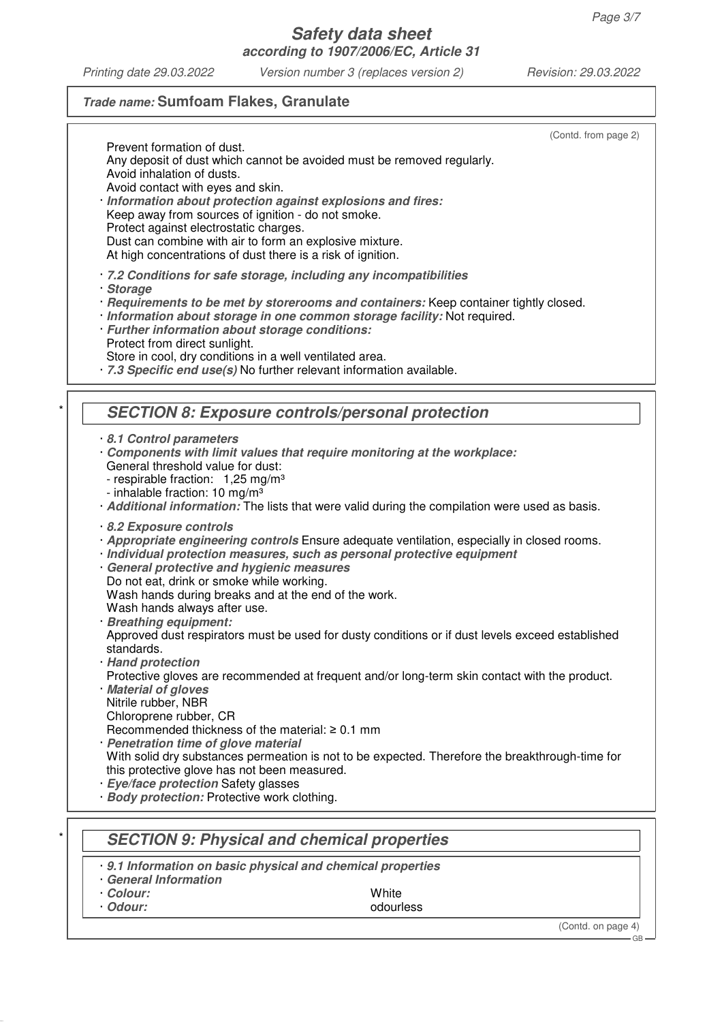*Printing date 29.03.2022 Version number 3 (replaces version 2) Revision: 29.03.2022*

# **Trade name: Sumfoam Flakes, Granulate**

| (Contd. from page 2)                                                                                                 |
|----------------------------------------------------------------------------------------------------------------------|
| Prevent formation of dust.                                                                                           |
| Any deposit of dust which cannot be avoided must be removed regularly.                                               |
| Avoid inhalation of dusts.                                                                                           |
| Avoid contact with eyes and skin.                                                                                    |
| · Information about protection against explosions and fires:                                                         |
| Keep away from sources of ignition - do not smoke.                                                                   |
| Protect against electrostatic charges.                                                                               |
| Dust can combine with air to form an explosive mixture.                                                              |
| At high concentrations of dust there is a risk of ignition.                                                          |
| 7.2 Conditions for safe storage, including any incompatibilities                                                     |
| · Storage                                                                                                            |
| · Requirements to be met by storerooms and containers: Keep container tightly closed.                                |
| · Information about storage in one common storage facility: Not required.                                            |
| · Further information about storage conditions:                                                                      |
| Protect from direct sunlight.                                                                                        |
| Store in cool, dry conditions in a well ventilated area.                                                             |
| · 7.3 Specific end use(s) No further relevant information available.                                                 |
|                                                                                                                      |
|                                                                                                                      |
| <b>SECTION 8: Exposure controls/personal protection</b>                                                              |
| 8.1 Control parameters                                                                                               |
| Components with limit values that require monitoring at the workplace:                                               |
| General threshold value for dust:                                                                                    |
| - respirable fraction: 1,25 mg/m <sup>3</sup>                                                                        |
| - inhalable fraction: 10 mg/m <sup>3</sup>                                                                           |
| · Additional information: The lists that were valid during the compilation were used as basis.                       |
|                                                                                                                      |
| 8.2 Exposure controls<br>· Appropriate engineering controls Ensure adequate ventilation, especially in closed rooms. |
| Individual protection measures, such as personal protective equipment                                                |
| · General protective and hygienic measures                                                                           |
| Do not eat, drink or smoke while working.                                                                            |
| Wash hands during breaks and at the end of the work.                                                                 |
| Wash hands always after use.                                                                                         |
| · Breathing equipment:                                                                                               |
| Approved dust respirators must be used for dusty conditions or if dust levels exceed established                     |
| standards.                                                                                                           |
| · Hand protection                                                                                                    |
| Protective gloves are recommended at frequent and/or long-term skin contact with the product.                        |
| · Material of gloves                                                                                                 |
| Nitrile rubber, NBR                                                                                                  |
| Chloroprene rubber, CR                                                                                               |
| Recommended thickness of the material: $\geq 0.1$ mm                                                                 |
| · Penetration time of glove material                                                                                 |
| With solid dry substances permeation is not to be expected. Therefore the breakthrough-time for                      |
| this protective glove has not been measured.                                                                         |
| · Eye/face protection Safety glasses                                                                                 |
| · Body protection: Protective work clothing.                                                                         |
|                                                                                                                      |
| <b>SECTION 9: Physical and chemical properties</b>                                                                   |
|                                                                                                                      |
| 9.1 Information on basic physical and chemical properties                                                            |
| <b>General Information</b>                                                                                           |
| White<br>· Colour:                                                                                                   |
| · Odour:<br>odourless                                                                                                |

(Contd. on page 4) GB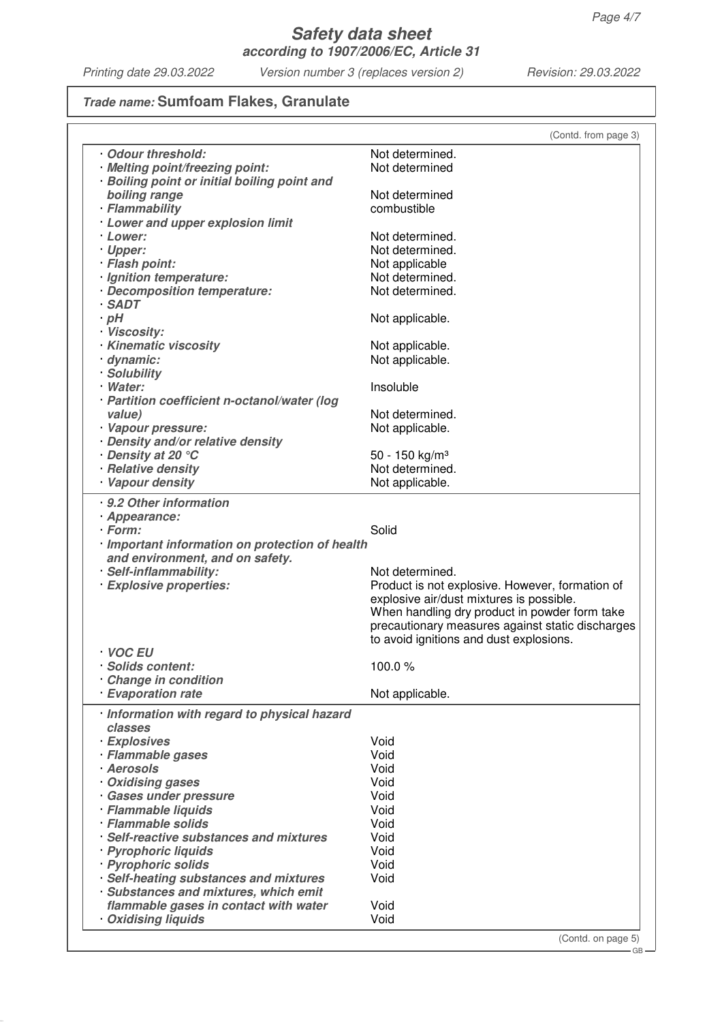*Printing date 29.03.2022 Version number 3 (replaces version 2) Revision: 29.03.2022*

# **Trade name: Sumfoam Flakes, Granulate**

|                                                 | (Contd. from page 3)                             |
|-------------------------------------------------|--------------------------------------------------|
| Odour threshold:                                | Not determined.                                  |
| · Melting point/freezing point:                 | Not determined                                   |
| · Boiling point or initial boiling point and    |                                                  |
| boiling range                                   | Not determined                                   |
| · Flammability                                  | combustible                                      |
|                                                 |                                                  |
| · Lower and upper explosion limit               |                                                  |
| · Lower:                                        | Not determined.                                  |
| · Upper:                                        | Not determined.                                  |
| · Flash point:                                  | Not applicable                                   |
| · Ignition temperature:                         | Not determined.                                  |
| · Decomposition temperature:                    | Not determined.                                  |
| $·$ SADT                                        |                                                  |
| $\cdot$ pH                                      | Not applicable.                                  |
| · Viscosity:                                    |                                                  |
| · Kinematic viscosity                           | Not applicable.                                  |
| · dynamic:                                      | Not applicable.                                  |
| · Solubility                                    |                                                  |
| · Water:                                        | Insoluble                                        |
| · Partition coefficient n-octanol/water (log    |                                                  |
| value)                                          | Not determined.                                  |
| · Vapour pressure:                              | Not applicable.                                  |
| Density and/or relative density                 |                                                  |
| • Density at 20 °C                              | 50 - 150 kg/m <sup>3</sup>                       |
| · Relative density                              | Not determined.                                  |
| · Vapour density                                | Not applicable.                                  |
|                                                 |                                                  |
| . 9.2 Other information                         |                                                  |
| · Appearance:                                   |                                                  |
| · Form:                                         | Solid                                            |
| · Important information on protection of health |                                                  |
| and environment, and on safety.                 |                                                  |
| · Self-inflammability:                          | Not determined.                                  |
| · Explosive properties:                         | Product is not explosive. However, formation of  |
|                                                 | explosive air/dust mixtures is possible.         |
|                                                 | When handling dry product in powder form take    |
|                                                 | precautionary measures against static discharges |
|                                                 | to avoid ignitions and dust explosions.          |
| ∙ VOC EU                                        |                                                  |
| Solids content:                                 | 100.0%                                           |
|                                                 |                                                  |
| Change in condition<br><b>Evaporation rate</b>  |                                                  |
|                                                 | Not applicable.                                  |
| · Information with regard to physical hazard    |                                                  |
| classes                                         |                                                  |
| · Explosives                                    | Void                                             |
| · Flammable gases                               | Void                                             |
| · Aerosols                                      | Void                                             |
| Oxidising gases                                 | Void                                             |
|                                                 | Void                                             |
| · Gases under pressure                          |                                                  |
| · Flammable liquids                             | Void                                             |
| · Flammable solids                              | Void                                             |
| · Self-reactive substances and mixtures         | Void                                             |
| · Pyrophoric liquids                            | Void                                             |
| · Pyrophoric solids                             | Void                                             |
| · Self-heating substances and mixtures          | Void                                             |
| · Substances and mixtures, which emit           |                                                  |
| flammable gases in contact with water           | Void                                             |
| <b>Oxidising liquids</b>                        | Void                                             |
|                                                 |                                                  |

(Conta. on page

GB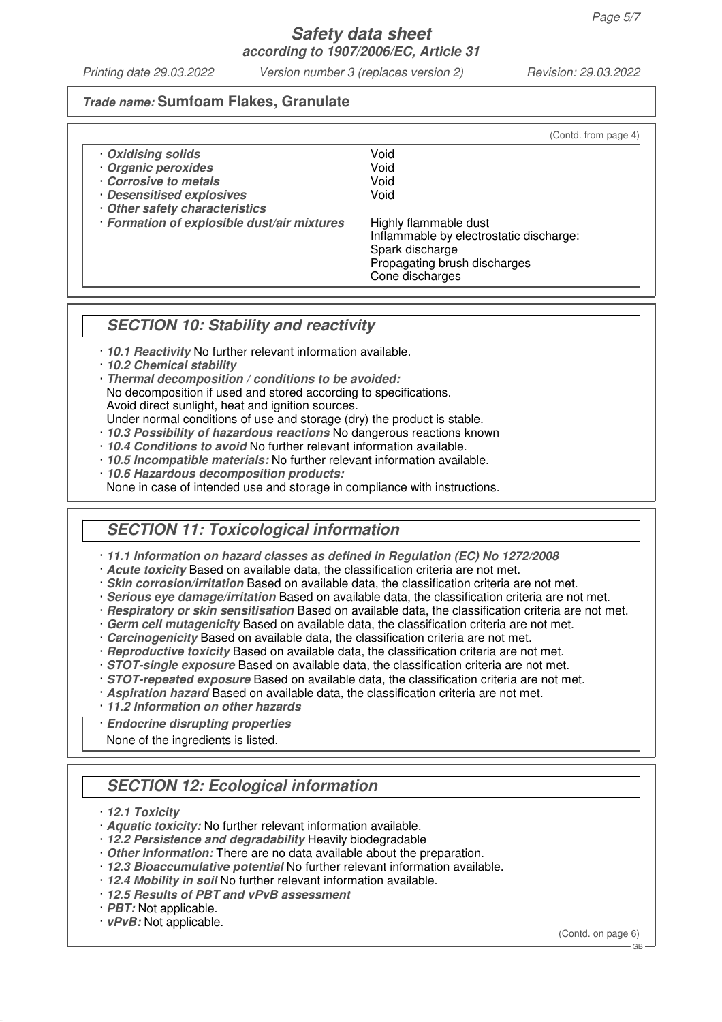*Printing date 29.03.2022 Version number 3 (replaces version 2) Revision: 29.03.2022*

(Contd. from page 4)

### **Trade name: Sumfoam Flakes, Granulate**

| Oxidising solids |  | Void |
|------------------|--|------|
|------------------|--|------|

- · **Organic peroxides** Void
- · **Corrosive to metals** Void
- **· Desensitised explosives** · **Other safety characteristics**
- · **Formation of explosible dust/air mixtures** Highly flammable dust

Inflammable by electrostatic discharge: Spark discharge Propagating brush discharges Cone discharges

## **SECTION 10: Stability and reactivity**

- · **10.1 Reactivity** No further relevant information available.
- · **10.2 Chemical stability**
- · **Thermal decomposition / conditions to be avoided:**
- No decomposition if used and stored according to specifications.

Avoid direct sunlight, heat and ignition sources.

- Under normal conditions of use and storage (dry) the product is stable.
- · **10.3 Possibility of hazardous reactions** No dangerous reactions known
- · **10.4 Conditions to avoid** No further relevant information available.
- · **10.5 Incompatible materials:** No further relevant information available.
- · **10.6 Hazardous decomposition products:**
- None in case of intended use and storage in compliance with instructions.

# **SECTION 11: Toxicological information**

- · **11.1 Information on hazard classes as defined in Regulation (EC) No 1272/2008**
- · **Acute toxicity** Based on available data, the classification criteria are not met.
- · **Skin corrosion/irritation** Based on available data, the classification criteria are not met.
- · **Serious eye damage/irritation** Based on available data, the classification criteria are not met.
- · **Respiratory or skin sensitisation** Based on available data, the classification criteria are not met.
- · **Germ cell mutagenicity** Based on available data, the classification criteria are not met.
- · **Carcinogenicity** Based on available data, the classification criteria are not met.
- · **Reproductive toxicity** Based on available data, the classification criteria are not met.
- · **STOT-single exposure** Based on available data, the classification criteria are not met.
- · **STOT-repeated exposure** Based on available data, the classification criteria are not met.
- · **Aspiration hazard** Based on available data, the classification criteria are not met.
- · **11.2 Information on other hazards**
- · **Endocrine disrupting properties**

None of the ingredients is listed.

# **SECTION 12: Ecological information**

- · **12.1 Toxicity**
- · **Aquatic toxicity:** No further relevant information available.
- · **12.2 Persistence and degradability** Heavily biodegradable
- · **Other information:** There are no data available about the preparation.
- · **12.3 Bioaccumulative potential** No further relevant information available.
- · **12.4 Mobility in soil** No further relevant information available.
- · **12.5 Results of PBT and vPvB assessment**
- · **PBT:** Not applicable.
- · **vPvB:** Not applicable.

(Contd. on page 6)

 $-$  GB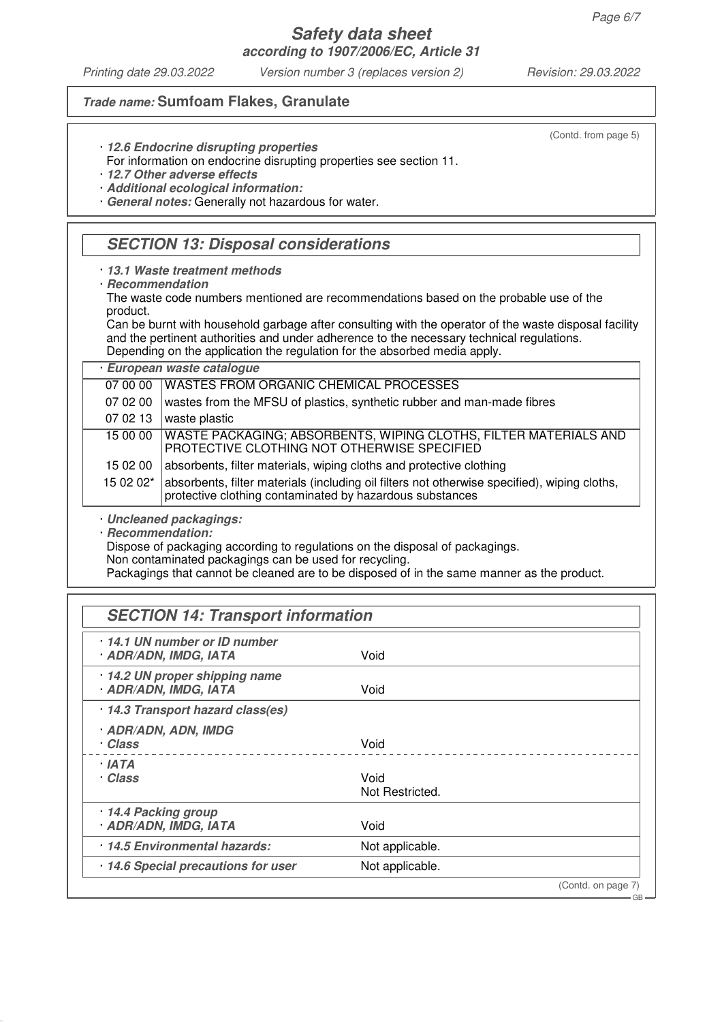*Printing date 29.03.2022 Version number 3 (replaces version 2) Revision: 29.03.2022*

### **Trade name: Sumfoam Flakes, Granulate**

(Contd. from page 5)

· **12.6 Endocrine disrupting properties**

For information on endocrine disrupting properties see section 11.

· **12.7 Other adverse effects**

· **Additional ecological information:**

· **General notes:** Generally not hazardous for water.

## **SECTION 13: Disposal considerations**

· **13.1 Waste treatment methods**

· **Recommendation**

The waste code numbers mentioned are recommendations based on the probable use of the product.

Can be burnt with household garbage after consulting with the operator of the waste disposal facility and the pertinent authorities and under adherence to the necessary technical regulations. Depending on the application the regulation for the absorbed media apply.

· **European waste catalogue**

| 07 00 00  | <b>WASTES FROM ORGANIC CHEMICAL PROCESSES</b>                                                                                                            |
|-----------|----------------------------------------------------------------------------------------------------------------------------------------------------------|
| 07 02 00  | wastes from the MFSU of plastics, synthetic rubber and man-made fibres                                                                                   |
| 07 02 13  | waste plastic                                                                                                                                            |
|           | 15 00 00   WASTE PACKAGING; ABSORBENTS, WIPING CLOTHS, FILTER MATERIALS AND<br>PROTECTIVE CLOTHING NOT OTHERWISE SPECIFIED                               |
| 15 02 00  | absorbents, filter materials, wiping cloths and protective clothing                                                                                      |
| 15 02 02* | absorbents, filter materials (including oil filters not otherwise specified), wiping cloths,<br>protective clothing contaminated by hazardous substances |

· **Uncleaned packagings:**

· **Recommendation:**

Dispose of packaging according to regulations on the disposal of packagings.

Non contaminated packagings can be used for recycling.

Packagings that cannot be cleaned are to be disposed of in the same manner as the product.

| 14.1 UN number or ID number       |                 |  |
|-----------------------------------|-----------------|--|
| <b>ADR/ADN, IMDG, IATA</b>        | Void            |  |
| 14.2 UN proper shipping name      |                 |  |
| <b>ADR/ADN, IMDG, IATA</b>        | Void            |  |
| · 14.3 Transport hazard class(es) |                 |  |
| <b>ADR/ADN, ADN, IMDG</b>         |                 |  |
| · Class                           | Void            |  |
| · IATA                            |                 |  |
| · Class                           | Void            |  |
|                                   | Not Restricted. |  |
| 14.4 Packing group                |                 |  |
| <b>ADR/ADN, IMDG, IATA</b>        | Void            |  |
| 14.5 Environmental hazards:       | Not applicable. |  |
| 14.6 Special precautions for user | Not applicable. |  |

GB